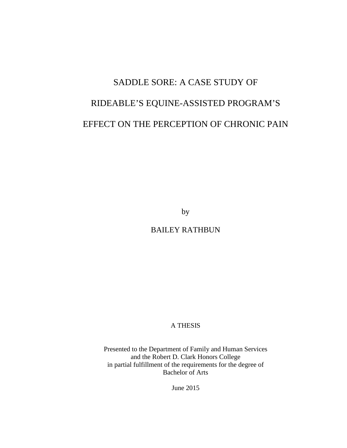# SADDLE SORE: A CASE STUDY OF RIDEABLE'S EQUINE-ASSISTED PROGRAM'S EFFECT ON THE PERCEPTION OF CHRONIC PAIN

by

BAILEY RATHBUN

A THESIS

Presented to the Department of Family and Human Services and the Robert D. Clark Honors College in partial fulfillment of the requirements for the degree of Bachelor of Arts

June 2015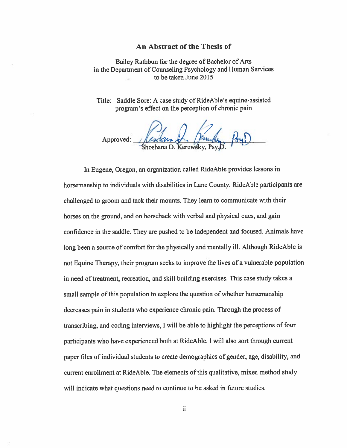#### An Abstract of the Thesis of

Bailey Rathbun for the degree of Bachelor of Arts in the Department of Counseling Psychology and Human Services to be taken June 2015

Title: Saddle Sore: A case study of RideAble's equine-assisted program's effect on the perception of chronic pain

Approved: Reschan R. Jewith Poul

In Eugene, Oregon, an organization called RideAble provides lessons in horsemanship to individuals with disabilities in Lane County. RideAble participants are challenged to groom and tack their mounts. They learn to communicate with their horses on the ground, and on horseback with verbal and physical cues, and gain confidence in the saddle. They are pushed to be independent and focused. Animals have long been a source of comfort for the physically and mentally ill. Although RideAble is not Equine Therapy, their program seeks to improve the lives of a vulnerable population in need of treatment, recreation, and skill building exercises. This case study takes a small sample of this population to explore the question of whether horsemanship decreases pain in students who experience chronic pain. Through the process of transcribing, and coding interviews, I will be able to highlight the perceptions of four participants who have experienced both at RideAble. I will also sort through current paper files of individual students to create demographics of gender, age, disability, and current enrollment at RideAble. The elements of this qualitative, mixed method study will indicate what questions need to continue to be asked in future studies.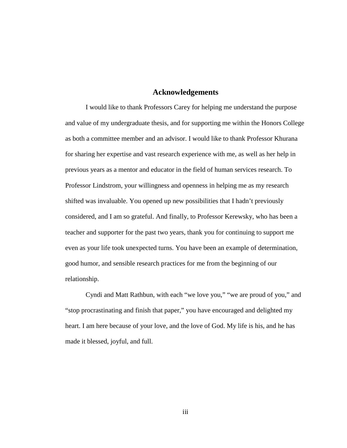### **Acknowledgements**

I would like to thank Professors Carey for helping me understand the purpose and value of my undergraduate thesis, and for supporting me within the Honors College as both a committee member and an advisor. I would like to thank Professor Khurana for sharing her expertise and vast research experience with me, as well as her help in previous years as a mentor and educator in the field of human services research. To Professor Lindstrom, your willingness and openness in helping me as my research shifted was invaluable. You opened up new possibilities that I hadn't previously considered, and I am so grateful. And finally, to Professor Kerewsky, who has been a teacher and supporter for the past two years, thank you for continuing to support me even as your life took unexpected turns. You have been an example of determination, good humor, and sensible research practices for me from the beginning of our relationship.

Cyndi and Matt Rathbun, with each "we love you," "we are proud of you," and "stop procrastinating and finish that paper," you have encouraged and delighted my heart. I am here because of your love, and the love of God. My life is his, and he has made it blessed, joyful, and full.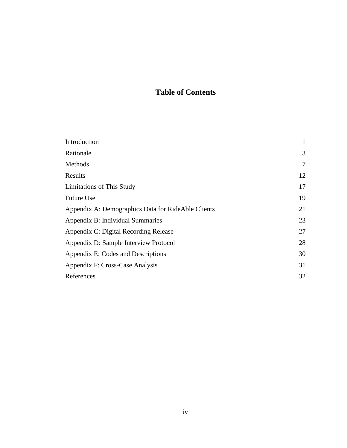# **Table of Contents**

| Introduction                                       |    |
|----------------------------------------------------|----|
| Rationale                                          | 3  |
| Methods                                            | 7  |
| Results                                            | 12 |
| <b>Limitations of This Study</b>                   | 17 |
| <b>Future Use</b>                                  | 19 |
| Appendix A: Demographics Data for RideAble Clients | 21 |
| Appendix B: Individual Summaries                   | 23 |
| Appendix C: Digital Recording Release              | 27 |
| Appendix D: Sample Interview Protocol              | 28 |
| Appendix E: Codes and Descriptions                 | 30 |
| Appendix F: Cross-Case Analysis                    | 31 |
| References                                         | 32 |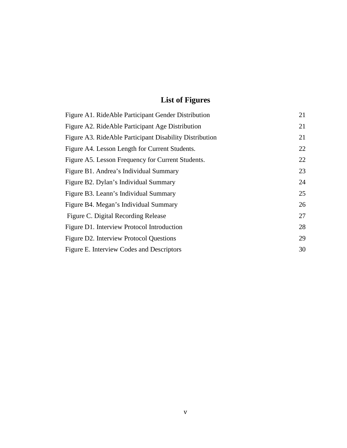# **List of Figures**

| Figure A1. RideAble Participant Gender Distribution     | 21 |
|---------------------------------------------------------|----|
| Figure A2. RideAble Participant Age Distribution        | 21 |
| Figure A3. RideAble Participant Disability Distribution | 21 |
| Figure A4. Lesson Length for Current Students.          | 22 |
| Figure A5. Lesson Frequency for Current Students.       | 22 |
| Figure B1. Andrea's Individual Summary                  | 23 |
| Figure B2. Dylan's Individual Summary                   | 24 |
| Figure B3. Leann's Individual Summary                   | 25 |
| Figure B4. Megan's Individual Summary                   | 26 |
| Figure C. Digital Recording Release                     | 27 |
| Figure D1. Interview Protocol Introduction              | 28 |
| Figure D2. Interview Protocol Questions                 | 29 |
| Figure E. Interview Codes and Descriptors               | 30 |
|                                                         |    |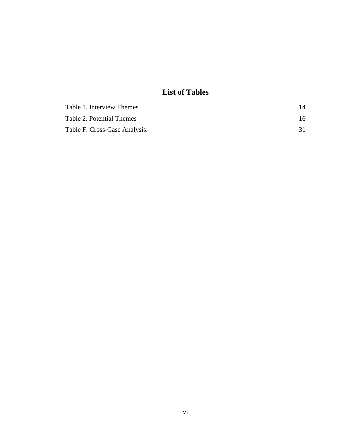# **List of Tables**

| Table 1. Interview Themes     | 14 |
|-------------------------------|----|
| Table 2. Potential Themes     | 16 |
| Table F. Cross-Case Analysis. |    |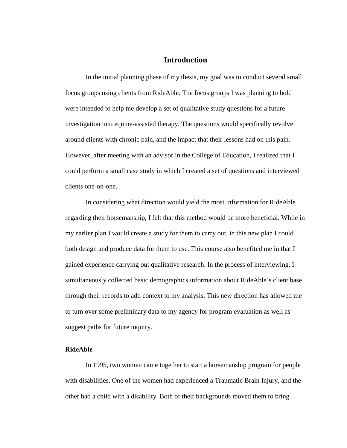# **Introduction**

In the initial planning phase of my thesis, my goal was to conduct several small focus groups using clients from RideAble. The focus groups I was planning to hold were intended to help me develop a set of qualitative study questions for a future investigation into equine-assisted therapy. The questions would specifically revolve around clients with chronic pain, and the impact that their lessons had on this pain. However, after meeting with an advisor in the College of Education, I realized that I could perform a small case study in which I created a set of questions and interviewed clients one-on-one.

In considering what direction would yield the most information for RideAble regarding their horsemanship, I felt that this method would be more beneficial. While in my earlier plan I would create a study for them to carry out, in this new plan I could both design and produce data for them to use. This course also benefited me in that I gained experience carrying out qualitative research. In the process of interviewing, I simultaneously collected basic demographics information about RideAble's client base through their records to add context to my analysis. This new direction has allowed me to turn over some preliminary data to my agency for program evaluation as well as suggest paths for future inquiry.

### **RideAble**

In 1995, two women came together to start a horsemanship program for people with disabilities. One of the women had experienced a Traumatic Brain Injury, and the other had a child with a disability. Both of their backgrounds moved them to bring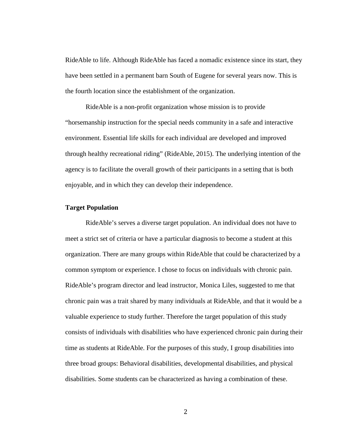RideAble to life. Although RideAble has faced a nomadic existence since its start, they have been settled in a permanent barn South of Eugene for several years now. This is the fourth location since the establishment of the organization.

RideAble is a non-profit organization whose mission is to provide "horsemanship instruction for the special needs community in a safe and interactive environment. Essential life skills for each individual are developed and improved through healthy recreational riding" (RideAble, 2015). The underlying intention of the agency is to facilitate the overall growth of their participants in a setting that is both enjoyable, and in which they can develop their independence.

#### **Target Population**

RideAble's serves a diverse target population. An individual does not have to meet a strict set of criteria or have a particular diagnosis to become a student at this organization. There are many groups within RideAble that could be characterized by a common symptom or experience. I chose to focus on individuals with chronic pain. RideAble's program director and lead instructor, Monica Liles, suggested to me that chronic pain was a trait shared by many individuals at RideAble, and that it would be a valuable experience to study further. Therefore the target population of this study consists of individuals with disabilities who have experienced chronic pain during their time as students at RideAble. For the purposes of this study, I group disabilities into three broad groups: Behavioral disabilities, developmental disabilities, and physical disabilities. Some students can be characterized as having a combination of these.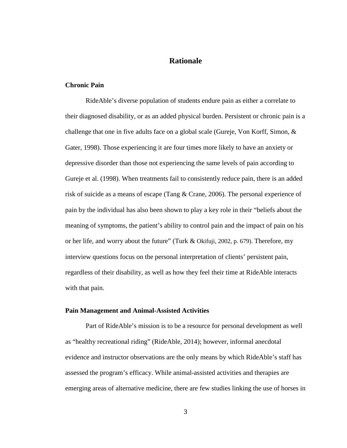# **Rationale**

#### **Chronic Pain**

RideAble's diverse population of students endure pain as either a correlate to their diagnosed disability, or as an added physical burden. Persistent or chronic pain is a challenge that one in five adults face on a global scale (Gureje, Von Korff, Simon, & Gater, 1998). Those experiencing it are four times more likely to have an anxiety or depressive disorder than those not experiencing the same levels of pain according to Gureje et al. (1998). When treatments fail to consistently reduce pain, there is an added risk of suicide as a means of escape (Tang & Crane, 2006). The personal experience of pain by the individual has also been shown to play a key role in their "beliefs about the meaning of symptoms, the patient's ability to control pain and the impact of pain on his or her life, and worry about the future" (Turk & Okifuji, 2002, p. 679). Therefore, my interview questions focus on the personal interpretation of clients' persistent pain, regardless of their disability, as well as how they feel their time at RideAble interacts with that pain.

#### **Pain Management and Animal-Assisted Activities**

Part of RideAble's mission is to be a resource for personal development as well as "healthy recreational riding" (RideAble, 2014); however, informal anecdotal evidence and instructor observations are the only means by which RideAble's staff has assessed the program's efficacy. While animal-assisted activities and therapies are emerging areas of alternative medicine, there are few studies linking the use of horses in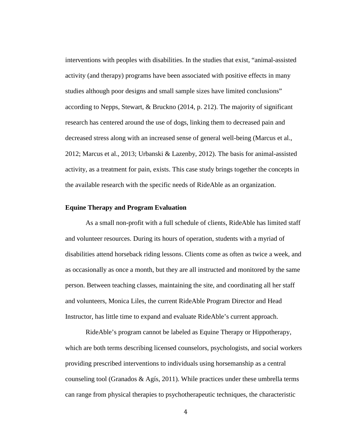interventions with peoples with disabilities. In the studies that exist, "animal-assisted activity (and therapy) programs have been associated with positive effects in many studies although poor designs and small sample sizes have limited conclusions" according to Nepps, Stewart, & Bruckno (2014, p. 212). The majority of significant research has centered around the use of dogs, linking them to decreased pain and decreased stress along with an increased sense of general well-being (Marcus et al., 2012; Marcus et al., 2013; Urbanski & Lazenby, 2012). The basis for animal-assisted activity, as a treatment for pain, exists. This case study brings together the concepts in the available research with the specific needs of RideAble as an organization.

#### **Equine Therapy and Program Evaluation**

As a small non-profit with a full schedule of clients, RideAble has limited staff and volunteer resources. During its hours of operation, students with a myriad of disabilities attend horseback riding lessons. Clients come as often as twice a week, and as occasionally as once a month, but they are all instructed and monitored by the same person. Between teaching classes, maintaining the site, and coordinating all her staff and volunteers, Monica Liles, the current RideAble Program Director and Head Instructor, has little time to expand and evaluate RideAble's current approach.

RideAble's program cannot be labeled as Equine Therapy or Hippotherapy, which are both terms describing licensed counselors, psychologists, and social workers providing prescribed interventions to individuals using horsemanship as a central counseling tool (Granados & Agís, 2011). While practices under these umbrella terms can range from physical therapies to psychotherapeutic techniques, the characteristic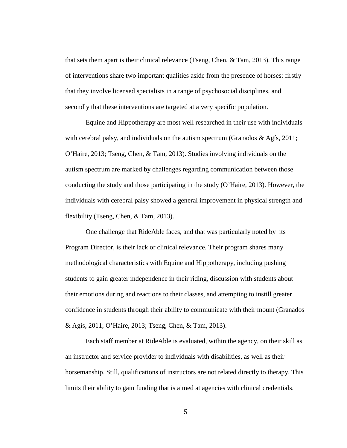that sets them apart is their clinical relevance (Tseng, Chen, & Tam, 2013). This range of interventions share two important qualities aside from the presence of horses: firstly that they involve licensed specialists in a range of psychosocial disciplines, and secondly that these interventions are targeted at a very specific population.

Equine and Hippotherapy are most well researched in their use with individuals with cerebral palsy, and individuals on the autism spectrum (Granados  $\&$  Agís, 2011; O'Haire, 2013; Tseng, Chen, & Tam, 2013). Studies involving individuals on the autism spectrum are marked by challenges regarding communication between those conducting the study and those participating in the study (O'Haire, 2013). However, the individuals with cerebral palsy showed a general improvement in physical strength and flexibility (Tseng, Chen, & Tam, 2013).

One challenge that RideAble faces, and that was particularly noted by its Program Director, is their lack or clinical relevance. Their program shares many methodological characteristics with Equine and Hippotherapy, including pushing students to gain greater independence in their riding, discussion with students about their emotions during and reactions to their classes, and attempting to instill greater confidence in students through their ability to communicate with their mount (Granados & Agís, 2011; O'Haire, 2013; Tseng, Chen, & Tam, 2013).

Each staff member at RideAble is evaluated, within the agency, on their skill as an instructor and service provider to individuals with disabilities, as well as their horsemanship. Still, qualifications of instructors are not related directly to therapy. This limits their ability to gain funding that is aimed at agencies with clinical credentials.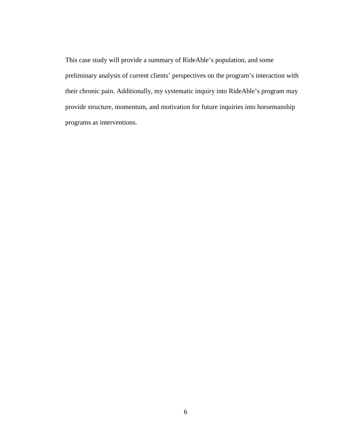This case study will provide a summary of RideAble's population, and some preliminary analysis of current clients' perspectives on the program's interaction with their chronic pain. Additionally, my systematic inquiry into RideAble's program may provide structure, momentum, and motivation for future inquiries into horsemanship programs as interventions.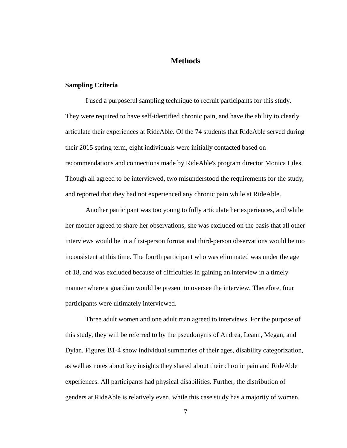### **Methods**

#### **Sampling Criteria**

I used a purposeful sampling technique to recruit participants for this study. They were required to have self-identified chronic pain, and have the ability to clearly articulate their experiences at RideAble. Of the 74 students that RideAble served during their 2015 spring term, eight individuals were initially contacted based on recommendations and connections made by RideAble's program director Monica Liles. Though all agreed to be interviewed, two misunderstood the requirements for the study, and reported that they had not experienced any chronic pain while at RideAble.

Another participant was too young to fully articulate her experiences, and while her mother agreed to share her observations, she was excluded on the basis that all other interviews would be in a first-person format and third-person observations would be too inconsistent at this time. The fourth participant who was eliminated was under the age of 18, and was excluded because of difficulties in gaining an interview in a timely manner where a guardian would be present to oversee the interview. Therefore, four participants were ultimately interviewed.

Three adult women and one adult man agreed to interviews. For the purpose of this study, they will be referred to by the pseudonyms of Andrea, Leann, Megan, and Dylan. Figures B1-4 show individual summaries of their ages, disability categorization, as well as notes about key insights they shared about their chronic pain and RideAble experiences. All participants had physical disabilities. Further, the distribution of genders at RideAble is relatively even, while this case study has a majority of women.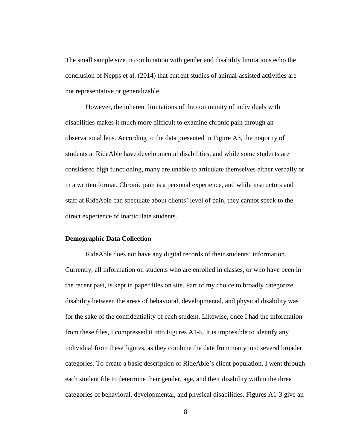The small sample size in combination with gender and disability limitations echo the conclusion of Nepps et al. (2014) that current studies of animal-assisted activities are not representative or generalizable.

However, the inherent limitations of the community of individuals with disabilities makes it much more difficult to examine chronic pain through an observational lens. According to the data presented in Figure A3, the majority of students at RideAble have developmental disabilities, and while some students are considered high functioning, many are unable to articulate themselves either verbally or in a written format. Chronic pain is a personal experience, and while instructors and staff at RideAble can speculate about clients' level of pain, they cannot speak to the direct experience of inarticulate students.

#### **Demographic Data Collection**

RideAble does not have any digital records of their students' information. Currently, all information on students who are enrolled in classes, or who have been in the recent past, is kept in paper files on site. Part of my choice to broadly categorize disability between the areas of behavioral, developmental, and physical disability was for the sake of the confidentiality of each student. Likewise, once I had the information from these files, I compressed it into Figures A1-5. It is impossible to identify any individual from these figures, as they combine the date from many into several broader categories. To create a basic description of RideAble's client population, I went through each student file to determine their gender, age, and their disability within the three categories of behavioral, developmental, and physical disabilities. Figures A1-3 give an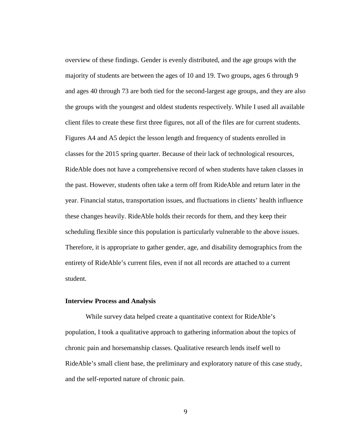overview of these findings. Gender is evenly distributed, and the age groups with the majority of students are between the ages of 10 and 19. Two groups, ages 6 through 9 and ages 40 through 73 are both tied for the second-largest age groups, and they are also the groups with the youngest and oldest students respectively. While I used all available client files to create these first three figures, not all of the files are for current students. Figures A4 and A5 depict the lesson length and frequency of students enrolled in classes for the 2015 spring quarter. Because of their lack of technological resources, RideAble does not have a comprehensive record of when students have taken classes in the past. However, students often take a term off from RideAble and return later in the year. Financial status, transportation issues, and fluctuations in clients' health influence these changes heavily. RideAble holds their records for them, and they keep their scheduling flexible since this population is particularly vulnerable to the above issues. Therefore, it is appropriate to gather gender, age, and disability demographics from the entirety of RideAble's current files, even if not all records are attached to a current student.

#### **Interview Process and Analysis**

While survey data helped create a quantitative context for RideAble's population, I took a qualitative approach to gathering information about the topics of chronic pain and horsemanship classes. Qualitative research lends itself well to RideAble's small client base, the preliminary and exploratory nature of this case study, and the self-reported nature of chronic pain.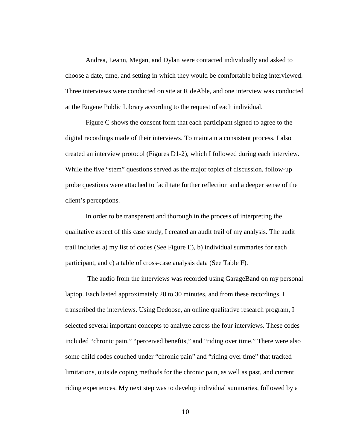Andrea, Leann, Megan, and Dylan were contacted individually and asked to choose a date, time, and setting in which they would be comfortable being interviewed. Three interviews were conducted on site at RideAble, and one interview was conducted at the Eugene Public Library according to the request of each individual.

Figure C shows the consent form that each participant signed to agree to the digital recordings made of their interviews. To maintain a consistent process, I also created an interview protocol (Figures D1-2), which I followed during each interview. While the five "stem" questions served as the major topics of discussion, follow-up probe questions were attached to facilitate further reflection and a deeper sense of the client's perceptions.

In order to be transparent and thorough in the process of interpreting the qualitative aspect of this case study, I created an audit trail of my analysis. The audit trail includes a) my list of codes (See Figure E), b) individual summaries for each participant, and c) a table of cross-case analysis data (See Table F).

The audio from the interviews was recorded using GarageBand on my personal laptop. Each lasted approximately 20 to 30 minutes, and from these recordings, I transcribed the interviews. Using Dedoose, an online qualitative research program, I selected several important concepts to analyze across the four interviews. These codes included "chronic pain," "perceived benefits," and "riding over time." There were also some child codes couched under "chronic pain" and "riding over time" that tracked limitations, outside coping methods for the chronic pain, as well as past, and current riding experiences. My next step was to develop individual summaries, followed by a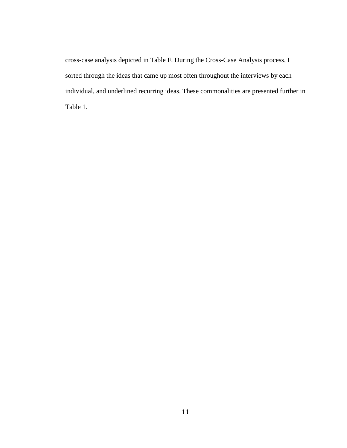cross-case analysis depicted in Table F. During the Cross-Case Analysis process, I sorted through the ideas that came up most often throughout the interviews by each individual, and underlined recurring ideas. These commonalities are presented further in Table 1.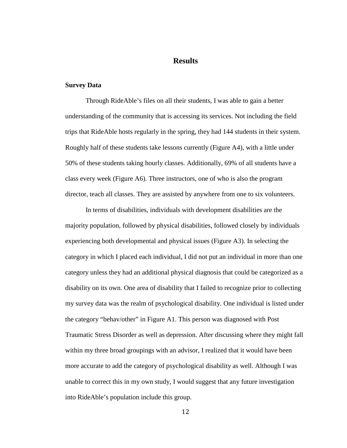### **Results**

#### **Survey Data**

Through RideAble's files on all their students, I was able to gain a better understanding of the community that is accessing its services. Not including the field trips that RideAble hosts regularly in the spring, they had 144 students in their system. Roughly half of these students take lessons currently (Figure A4), with a little under 50% of these students taking hourly classes. Additionally, 69% of all students have a class every week (Figure A6). Three instructors, one of who is also the program director, teach all classes. They are assisted by anywhere from one to six volunteers.

In terms of disabilities, individuals with development disabilities are the majority population, followed by physical disabilities, followed closely by individuals experiencing both developmental and physical issues (Figure A3). In selecting the category in which I placed each individual, I did not put an individual in more than one category unless they had an additional physical diagnosis that could be categorized as a disability on its own. One area of disability that I failed to recognize prior to collecting my survey data was the realm of psychological disability. One individual is listed under the category "behav/other" in Figure A1. This person was diagnosed with Post Traumatic Stress Disorder as well as depression. After discussing where they might fall within my three broad groupings with an advisor, I realized that it would have been more accurate to add the category of psychological disability as well. Although I was unable to correct this in my own study, I would suggest that any future investigation into RideAble's population include this group.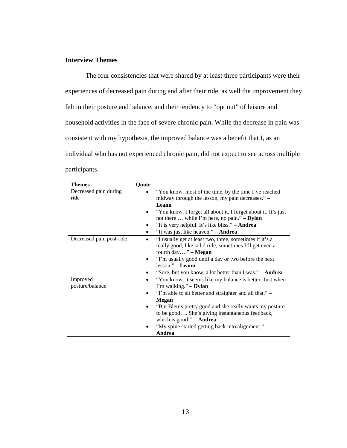# **Interview Themes**

The four consistencies that were shared by at least three participants were their experiences of decreased pain during and after their ride, as well the improvement they felt in their posture and balance, and their tendency to "opt out" of leisure and household activities in the face of severe chronic pain. While the decrease in pain was consistent with my hypothesis, the improved balance was a benefit that I, as an individual who has not experienced chronic pain, did not expect to see across multiple participants.

| <b>Themes</b>            | Quote     |                                                                |
|--------------------------|-----------|----------------------------------------------------------------|
| Decreased pain during    |           | "You know, most of the time, by the time I've reached          |
| ride                     |           | midway through the lesson, my pain decreases." –               |
|                          |           | Leann                                                          |
|                          |           | "You know, I forget all about it. I forget about it. It's just |
|                          |           | not there  while I'm here, no pain." $-$ <b>Dylan</b>          |
|                          |           | "It is very helpful. It's like bliss." - <b>Andrea</b>         |
|                          | $\bullet$ | "It was just like heaven." - <b>Andrea</b>                     |
| Decreased pain post-ride | $\bullet$ | "I usually get at least two, three, sometimes if it's a        |
|                          |           | really good, like solid ride, sometimes I'll get even a        |
|                          |           | fourth day" $-$ Megan                                          |
|                          | $\bullet$ | "I'm usually good until a day or two before the next           |
|                          |           | $lesson.$ " – Leann                                            |
|                          |           | "Sore, but you know, a lot better than I was." – <b>Andrea</b> |
| Improved                 | $\bullet$ | "You know, it seems like my balance is better. Just when       |
| posture/balance          |           | I'm walking." $-$ Dylan                                        |
|                          | $\bullet$ | "I'm able to sit better and straighter and all that." -        |
|                          |           | <b>Megan</b>                                                   |
|                          | $\bullet$ | "But Bleu's pretty good and she really wants my posture        |
|                          |           | to be good She's giving instantaneous feedback,                |
|                          |           | which is good!" $-$ <b>Andrea</b>                              |
|                          |           | "My spine started getting back into alignment." –              |
|                          |           | Andrea                                                         |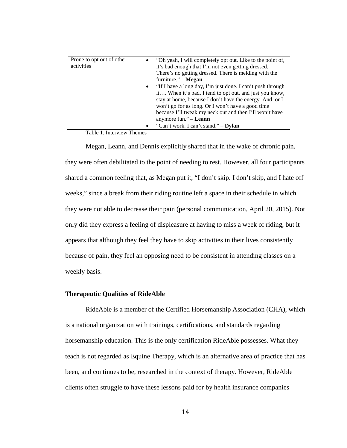| Prone to opt out of other<br>$\bullet$ | "Oh yeah, I will completely opt out. Like to the point of, |
|----------------------------------------|------------------------------------------------------------|
| activities                             | it's bad enough that I'm not even getting dressed.         |
|                                        | There's no getting dressed. There is melding with the      |
|                                        | furniture." $-$ <b>Megan</b>                               |
| $\bullet$                              | "If I have a long day, I'm just done. I can't push through |
|                                        | it When it's bad, I tend to opt out, and just you know,    |
|                                        | stay at home, because I don't have the energy. And, or I   |
|                                        | won't go for as long. Or I won't have a good time          |
|                                        | because I'll tweak my neck out and then I'll won't have    |
|                                        | anymore fun." – Leann                                      |
| $\bullet$                              | "Can't work. I can't stand." – <b>Dylan</b>                |

Table 1. Interview Themes

Megan, Leann, and Dennis explicitly shared that in the wake of chronic pain, they were often debilitated to the point of needing to rest. However, all four participants shared a common feeling that, as Megan put it, "I don't skip. I don't skip, and I hate off weeks," since a break from their riding routine left a space in their schedule in which they were not able to decrease their pain (personal communication, April 20, 2015). Not only did they express a feeling of displeasure at having to miss a week of riding, but it appears that although they feel they have to skip activities in their lives consistently because of pain, they feel an opposing need to be consistent in attending classes on a weekly basis.

#### **Therapeutic Qualities of RideAble**

RideAble is a member of the Certified Horsemanship Association (CHA), which is a national organization with trainings, certifications, and standards regarding horsemanship education. This is the only certification RideAble possesses. What they teach is not regarded as Equine Therapy, which is an alternative area of practice that has been, and continues to be, researched in the context of therapy. However, RideAble clients often struggle to have these lessons paid for by health insurance companies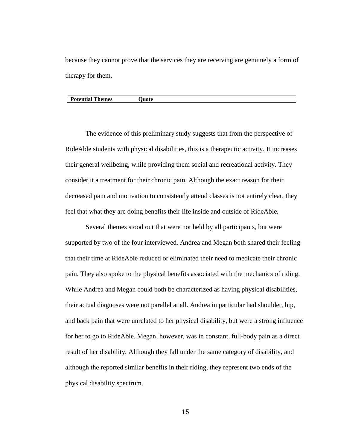because they cannot prove that the services they are receiving are genuinely a form of therapy for them.

#### **Potential Themes** Quote

The evidence of this preliminary study suggests that from the perspective of RideAble students with physical disabilities, this is a therapeutic activity. It increases their general wellbeing, while providing them social and recreational activity. They consider it a treatment for their chronic pain. Although the exact reason for their decreased pain and motivation to consistently attend classes is not entirely clear, they feel that what they are doing benefits their life inside and outside of RideAble.

Several themes stood out that were not held by all participants, but were supported by two of the four interviewed. Andrea and Megan both shared their feeling that their time at RideAble reduced or eliminated their need to medicate their chronic pain. They also spoke to the physical benefits associated with the mechanics of riding. While Andrea and Megan could both be characterized as having physical disabilities, their actual diagnoses were not parallel at all. Andrea in particular had shoulder, hip, and back pain that were unrelated to her physical disability, but were a strong influence for her to go to RideAble. Megan, however, was in constant, full-body pain as a direct result of her disability. Although they fall under the same category of disability, and although the reported similar benefits in their riding, they represent two ends of the physical disability spectrum.

15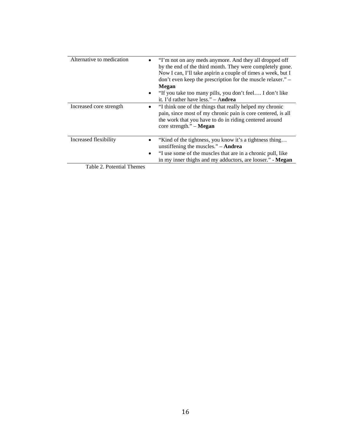| Alternative to medication            | "I'm not on any meds anymore. And they all dropped off<br>by the end of the third month. They were completely gone.<br>Now I can, I'll take aspirin a couple of times a week, but I<br>$\gamma$ don't even keep the prescription for the muscle relaxer." $-$<br>Megan<br>• "If you take too many pills, you don't feel I don't like<br>it. I'd rather have less." $-$ Andrea |
|--------------------------------------|-------------------------------------------------------------------------------------------------------------------------------------------------------------------------------------------------------------------------------------------------------------------------------------------------------------------------------------------------------------------------------|
| Increased core strength<br>$\bullet$ | "I think one of the things that really helped my chronic<br>pain, since most of my chronic pain is core centered, is all<br>the work that you have to do in riding centered around<br>core strength." $-$ <b>Megan</b>                                                                                                                                                        |
| Increased flexibility                | "Kind of the tightness, you know it's a tightness thing<br>unstiffening the muscles." $-$ <b>Andrea</b><br>"I use some of the muscles that are in a chronic pull, like<br>in my inner thighs and my adductors, are looser." - Megan                                                                                                                                           |
| Table 2. Potential Themes            |                                                                                                                                                                                                                                                                                                                                                                               |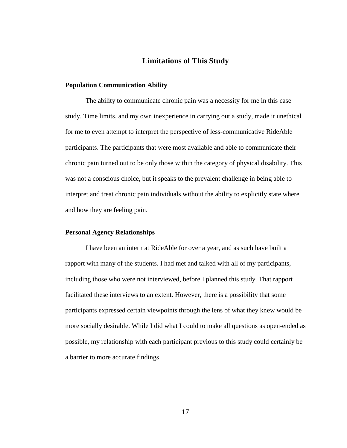# **Limitations of This Study**

#### **Population Communication Ability**

The ability to communicate chronic pain was a necessity for me in this case study. Time limits, and my own inexperience in carrying out a study, made it unethical for me to even attempt to interpret the perspective of less-communicative RideAble participants. The participants that were most available and able to communicate their chronic pain turned out to be only those within the category of physical disability. This was not a conscious choice, but it speaks to the prevalent challenge in being able to interpret and treat chronic pain individuals without the ability to explicitly state where and how they are feeling pain.

#### **Personal Agency Relationships**

I have been an intern at RideAble for over a year, and as such have built a rapport with many of the students. I had met and talked with all of my participants, including those who were not interviewed, before I planned this study. That rapport facilitated these interviews to an extent. However, there is a possibility that some participants expressed certain viewpoints through the lens of what they knew would be more socially desirable. While I did what I could to make all questions as open-ended as possible, my relationship with each participant previous to this study could certainly be a barrier to more accurate findings.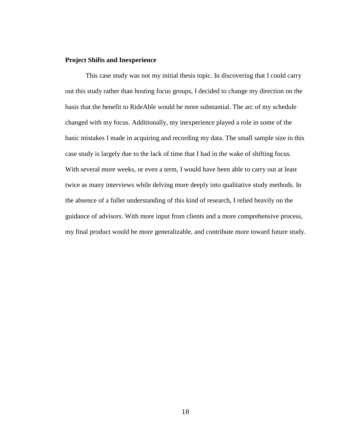#### **Project Shifts and Inexperience**

This case study was not my initial thesis topic. In discovering that I could carry out this study rather than hosting focus groups, I decided to change my direction on the basis that the benefit to RideAble would be more substantial. The arc of my schedule changed with my focus. Additionally, my inexperience played a role in some of the basic mistakes I made in acquiring and recording my data. The small sample size in this case study is largely due to the lack of time that I had in the wake of shifting focus. With several more weeks, or even a term, I would have been able to carry out at least twice as many interviews while delving more deeply into qualitative study methods. In the absence of a fuller understanding of this kind of research, I relied heavily on the guidance of advisors. With more input from clients and a more comprehensive process, my final product would be more generalizable, and contribute more toward future study.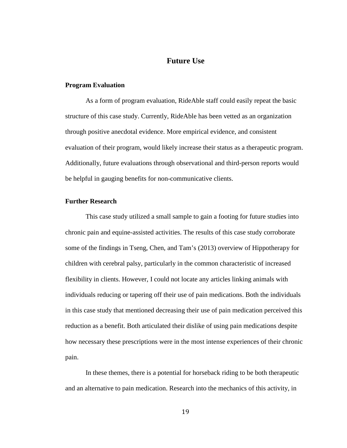# **Future Use**

#### **Program Evaluation**

As a form of program evaluation, RideAble staff could easily repeat the basic structure of this case study. Currently, RideAble has been vetted as an organization through positive anecdotal evidence. More empirical evidence, and consistent evaluation of their program, would likely increase their status as a therapeutic program. Additionally, future evaluations through observational and third-person reports would be helpful in gauging benefits for non-communicative clients.

#### **Further Research**

This case study utilized a small sample to gain a footing for future studies into chronic pain and equine-assisted activities. The results of this case study corroborate some of the findings in Tseng, Chen, and Tam's (2013) overview of Hippotherapy for children with cerebral palsy, particularly in the common characteristic of increased flexibility in clients. However, I could not locate any articles linking animals with individuals reducing or tapering off their use of pain medications. Both the individuals in this case study that mentioned decreasing their use of pain medication perceived this reduction as a benefit. Both articulated their dislike of using pain medications despite how necessary these prescriptions were in the most intense experiences of their chronic pain.

In these themes, there is a potential for horseback riding to be both therapeutic and an alternative to pain medication. Research into the mechanics of this activity, in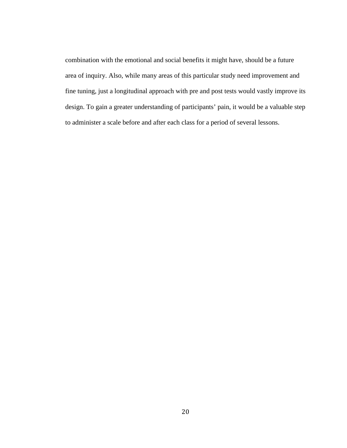combination with the emotional and social benefits it might have, should be a future area of inquiry. Also, while many areas of this particular study need improvement and fine tuning, just a longitudinal approach with pre and post tests would vastly improve its design. To gain a greater understanding of participants' pain, it would be a valuable step to administer a scale before and after each class for a period of several lessons.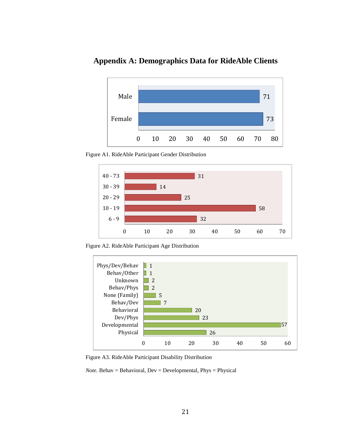73 71 Female Male 0 10 20 30 40 50 60 70 80

**Appendix A: Demographics Data for RideAble Clients**

Figure A1. RideAble Participant Gender Distribution



Figure A2. RideAble Participant Age Distribution



Figure A3. RideAble Participant Disability Distribution

 $Note.$  Behav = Behavioral,  $Dev = Developmental$ ,  $Phys = Physical$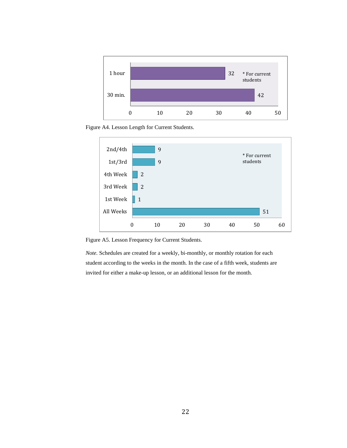

Figure A4. Lesson Length for Current Students.



Figure A5. Lesson Frequency for Current Students.

*Note.* Schedules are created for a weekly, bi-monthly, or monthly rotation for each student according to the weeks in the month. In the case of a fifth week, students are invited for either a make-up lesson, or an additional lesson for the month.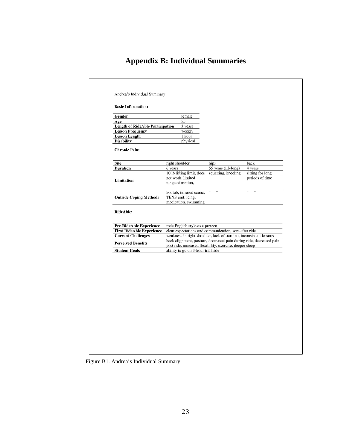# **Appendix B: Individual Summaries**

| 55<br>Age<br><b>Length of RideAble Participation</b><br>3 years<br><b>Lesson Frequency</b><br>weekly<br><b>Lesson Length</b><br>1 hour<br><b>Disability</b><br>physical<br><b>Chronic Pain:</b><br><b>Site</b><br>right shoulder<br>hips<br>back<br>55 years (lifelong)<br><b>Duration</b><br>6 years<br>4 years<br>10 lb lifting limit, does<br>squatting, kneeling<br>sitting for long<br>not work, limited<br>periods of time<br><b>Limitation</b><br>range of motion,<br>$\overline{\phantom{1}}$<br>$\overline{\mathfrak{a}}$<br>hot tub, infrared sauna,<br>$\epsilon\epsilon$<br><b>Outside Coping Methods</b><br>TENS unit, icing,<br>medication, swimming<br>RideAble:<br><b>Pre-RideAble Experience</b><br>rode English style as a preteen<br>clear expectations and communication, sore after ride<br><b>First RideAble Experience</b><br><b>Current Challenges</b> |                                                                     |
|--------------------------------------------------------------------------------------------------------------------------------------------------------------------------------------------------------------------------------------------------------------------------------------------------------------------------------------------------------------------------------------------------------------------------------------------------------------------------------------------------------------------------------------------------------------------------------------------------------------------------------------------------------------------------------------------------------------------------------------------------------------------------------------------------------------------------------------------------------------------------------|---------------------------------------------------------------------|
|                                                                                                                                                                                                                                                                                                                                                                                                                                                                                                                                                                                                                                                                                                                                                                                                                                                                                |                                                                     |
|                                                                                                                                                                                                                                                                                                                                                                                                                                                                                                                                                                                                                                                                                                                                                                                                                                                                                |                                                                     |
|                                                                                                                                                                                                                                                                                                                                                                                                                                                                                                                                                                                                                                                                                                                                                                                                                                                                                |                                                                     |
|                                                                                                                                                                                                                                                                                                                                                                                                                                                                                                                                                                                                                                                                                                                                                                                                                                                                                |                                                                     |
|                                                                                                                                                                                                                                                                                                                                                                                                                                                                                                                                                                                                                                                                                                                                                                                                                                                                                |                                                                     |
|                                                                                                                                                                                                                                                                                                                                                                                                                                                                                                                                                                                                                                                                                                                                                                                                                                                                                |                                                                     |
|                                                                                                                                                                                                                                                                                                                                                                                                                                                                                                                                                                                                                                                                                                                                                                                                                                                                                |                                                                     |
|                                                                                                                                                                                                                                                                                                                                                                                                                                                                                                                                                                                                                                                                                                                                                                                                                                                                                |                                                                     |
|                                                                                                                                                                                                                                                                                                                                                                                                                                                                                                                                                                                                                                                                                                                                                                                                                                                                                |                                                                     |
|                                                                                                                                                                                                                                                                                                                                                                                                                                                                                                                                                                                                                                                                                                                                                                                                                                                                                |                                                                     |
|                                                                                                                                                                                                                                                                                                                                                                                                                                                                                                                                                                                                                                                                                                                                                                                                                                                                                |                                                                     |
|                                                                                                                                                                                                                                                                                                                                                                                                                                                                                                                                                                                                                                                                                                                                                                                                                                                                                |                                                                     |
|                                                                                                                                                                                                                                                                                                                                                                                                                                                                                                                                                                                                                                                                                                                                                                                                                                                                                |                                                                     |
|                                                                                                                                                                                                                                                                                                                                                                                                                                                                                                                                                                                                                                                                                                                                                                                                                                                                                | weakness in right shoulder, lack of stamina, inconsistent lessons   |
| <b>Perceived Benefits</b><br>post ride, increased flexibility, exercise, deeper sleep                                                                                                                                                                                                                                                                                                                                                                                                                                                                                                                                                                                                                                                                                                                                                                                          | back alignment, posture, decreased pain during ride, decreased pain |
| ability to go on 3-hour trail ride<br><b>Student Goals</b>                                                                                                                                                                                                                                                                                                                                                                                                                                                                                                                                                                                                                                                                                                                                                                                                                     |                                                                     |
|                                                                                                                                                                                                                                                                                                                                                                                                                                                                                                                                                                                                                                                                                                                                                                                                                                                                                |                                                                     |

Figure B1. Andrea's Individual Summary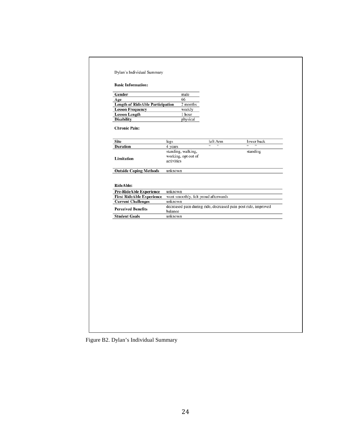| 66<br><b>Length of RideAble Participation</b><br>2 months<br>weekly<br>1 hour<br>physical<br>legs<br>4 years<br>standing, walking,<br>working, opt out of<br>activities<br>unknown<br>unknown<br>went smoothly, felt proud afterwards<br>unknown<br>decreased pain during ride, decreased pain post ride, improved<br>balance<br>unknown | left Arm<br>$\epsilon$ | $\epsilon\epsilon$ | lower back<br>standing |
|------------------------------------------------------------------------------------------------------------------------------------------------------------------------------------------------------------------------------------------------------------------------------------------------------------------------------------------|------------------------|--------------------|------------------------|
|                                                                                                                                                                                                                                                                                                                                          |                        |                    |                        |
|                                                                                                                                                                                                                                                                                                                                          |                        |                    |                        |
|                                                                                                                                                                                                                                                                                                                                          |                        |                    |                        |
|                                                                                                                                                                                                                                                                                                                                          |                        |                    |                        |
|                                                                                                                                                                                                                                                                                                                                          |                        |                    |                        |
|                                                                                                                                                                                                                                                                                                                                          |                        |                    |                        |
|                                                                                                                                                                                                                                                                                                                                          |                        |                    |                        |
|                                                                                                                                                                                                                                                                                                                                          |                        |                    |                        |
|                                                                                                                                                                                                                                                                                                                                          |                        |                    |                        |
|                                                                                                                                                                                                                                                                                                                                          |                        |                    |                        |
|                                                                                                                                                                                                                                                                                                                                          |                        |                    |                        |
|                                                                                                                                                                                                                                                                                                                                          |                        |                    |                        |
|                                                                                                                                                                                                                                                                                                                                          |                        |                    |                        |
|                                                                                                                                                                                                                                                                                                                                          |                        |                    |                        |
|                                                                                                                                                                                                                                                                                                                                          |                        |                    |                        |

Figure B2. Dylan's Individual Summary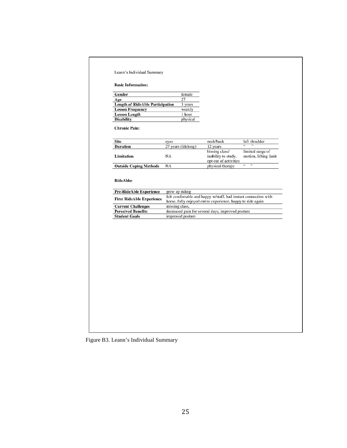| Age<br><b>Length of RideAble Participation</b><br><b>Lesson Frequency</b><br><b>Lesson Length</b><br><b>Disability</b><br><b>Chronic Pain:</b><br><b>Site</b><br><b>Duration</b><br><b>Limitation</b><br><b>Outside Coping Methods</b><br>RideAble:<br><b>Pre-RideAble Experience</b><br>grew up riding | 27<br>3 years<br>weekly<br>1 hour<br>physical<br>eyes<br>27 years (lifelong)<br>NA<br><b>NA</b> | neck/back<br>12 years<br>bissing class/<br>inability to study.<br>opt out of activities<br>physical therapy                    | left shoulder<br>limited range of<br>motion, lifting limit |
|---------------------------------------------------------------------------------------------------------------------------------------------------------------------------------------------------------------------------------------------------------------------------------------------------------|-------------------------------------------------------------------------------------------------|--------------------------------------------------------------------------------------------------------------------------------|------------------------------------------------------------|
|                                                                                                                                                                                                                                                                                                         |                                                                                                 |                                                                                                                                |                                                            |
|                                                                                                                                                                                                                                                                                                         |                                                                                                 |                                                                                                                                |                                                            |
|                                                                                                                                                                                                                                                                                                         |                                                                                                 |                                                                                                                                |                                                            |
|                                                                                                                                                                                                                                                                                                         |                                                                                                 |                                                                                                                                |                                                            |
|                                                                                                                                                                                                                                                                                                         |                                                                                                 |                                                                                                                                |                                                            |
|                                                                                                                                                                                                                                                                                                         |                                                                                                 |                                                                                                                                |                                                            |
|                                                                                                                                                                                                                                                                                                         |                                                                                                 |                                                                                                                                |                                                            |
|                                                                                                                                                                                                                                                                                                         |                                                                                                 |                                                                                                                                |                                                            |
|                                                                                                                                                                                                                                                                                                         |                                                                                                 |                                                                                                                                | $\overline{\phantom{1}}$<br>$\overline{\mathfrak{c}}$      |
| <b>First RideAble Experience</b><br><b>Current Challenges</b>                                                                                                                                                                                                                                           | missing class,                                                                                  | felt comfortable and happy w/staff, had instant connection with<br>horse, fully enjoyed entire experience, happy to ride again |                                                            |
| <b>Perceived Benefits</b>                                                                                                                                                                                                                                                                               |                                                                                                 | decreased pain for several days, improved posture                                                                              |                                                            |
| <b>Student Goals</b>                                                                                                                                                                                                                                                                                    | improved posture                                                                                |                                                                                                                                |                                                            |
|                                                                                                                                                                                                                                                                                                         |                                                                                                 |                                                                                                                                |                                                            |

Figure B3. Leann's Individual Summary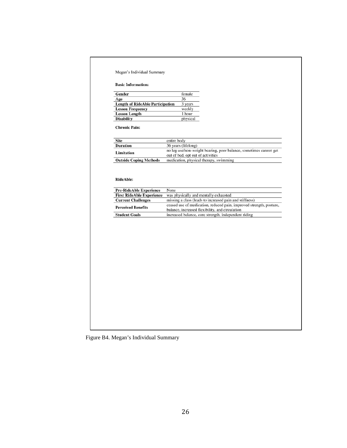#### Megan's Individual Summary

#### **Basic Information:**

| Gender                                  | female   |
|-----------------------------------------|----------|
| Age                                     | 36       |
| <b>Length of RideAble Participation</b> | 3 years  |
| <b>Lesson Frequency</b>                 | weekly   |
| <b>Lesson Length</b>                    | 1 hour   |
| <b>Disability</b>                       | physical |

**Chronic Pain:** 

| Site                          | entire body                                                       |
|-------------------------------|-------------------------------------------------------------------|
| <b>Duration</b>               | 36 years (lifelong)                                               |
| Limitation                    | no leg use/non-weight bearing, poor balance, sometimes cannot get |
|                               | out of bed, opt out of activities                                 |
| <b>Outside Coping Methods</b> | medication, physical therapy, swimming                            |

#### RideAble:

| <b>Pre-RideAble Experience</b>   | None                                                                                                                   |
|----------------------------------|------------------------------------------------------------------------------------------------------------------------|
| <b>First RideAble Experience</b> | was physically and mentally exhausted                                                                                  |
| <b>Current Challenges</b>        | missing a class (leads to increased pain and stiffness)                                                                |
| <b>Perceived Benefits</b>        | ceased use of medication, reduced pain, improved strength, posture,<br>balance, increased flexibility, and circulation |
| <b>Student Goals</b>             | increased balance, core strength, independent riding                                                                   |

Figure B4. Megan's Individual Summary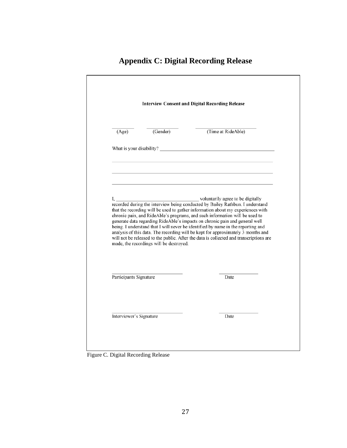|                        | <b>Interview Consent and Digital Recording Release</b> |                                                                                                                                                                                                                                                                                                                                                                                                                                                                                                                 |  |  |  |
|------------------------|--------------------------------------------------------|-----------------------------------------------------------------------------------------------------------------------------------------------------------------------------------------------------------------------------------------------------------------------------------------------------------------------------------------------------------------------------------------------------------------------------------------------------------------------------------------------------------------|--|--|--|
| (Age)                  | (Gender)                                               | (Time at RideAble)                                                                                                                                                                                                                                                                                                                                                                                                                                                                                              |  |  |  |
|                        |                                                        |                                                                                                                                                                                                                                                                                                                                                                                                                                                                                                                 |  |  |  |
|                        |                                                        |                                                                                                                                                                                                                                                                                                                                                                                                                                                                                                                 |  |  |  |
|                        |                                                        |                                                                                                                                                                                                                                                                                                                                                                                                                                                                                                                 |  |  |  |
|                        | made, the recordings will be destroyed.                | that the recording will be used to gather information about my experiences with<br>chronic pain, and RideAble's programs, and such information will be used to<br>generate data regarding RideAble's impacts on chronic pain and general well<br>being. I understand that I will never be identified by name in the reporting and<br>analysis of this data. The recording will be kept for approximately 3 months and<br>will not be released to the public. After the data is collected and transcriptions are |  |  |  |
| Participants Signature |                                                        | Date                                                                                                                                                                                                                                                                                                                                                                                                                                                                                                            |  |  |  |

# **Appendix C: Digital Recording Release**

Figure C. Digital Recording Release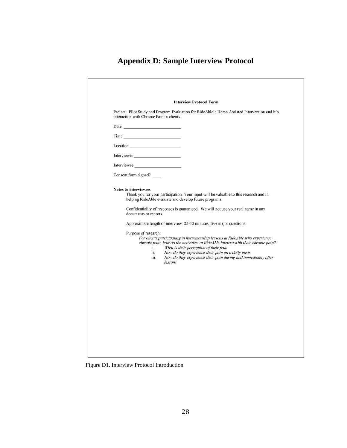# **Appendix D: Sample Interview Protocol**

| Project: Pilot Study and Program Evaluation for RideAble's Horse-Assisted Intervention and it's<br>interaction with Chronic Pain in clients.<br>$\frac{1}{2}$<br>Interviewer<br>Interviewee<br>Consent form signed?<br>Notes to interviewee:<br>Thank you for your participation. Your input will be valuable to this research and in<br>helping RideAble evaluate and develop future programs.<br>Confidentiality of responses is guaranteed. We will not use your real name in any<br>documents or reports.<br>Approximate length of interview: 25-30 minutes, five major questions<br>Purpose of research:<br>For clients participating in horsemanship lessons at RideAble who experience<br>What is their perception of their pain<br>i.<br>ii.<br>How do they experience their pain on a daily basis<br>How do they experience their pain during and immediately after<br>iii.<br>lessons | <b>Interview Protocol Form</b> |
|-------------------------------------------------------------------------------------------------------------------------------------------------------------------------------------------------------------------------------------------------------------------------------------------------------------------------------------------------------------------------------------------------------------------------------------------------------------------------------------------------------------------------------------------------------------------------------------------------------------------------------------------------------------------------------------------------------------------------------------------------------------------------------------------------------------------------------------------------------------------------------------------------|--------------------------------|
|                                                                                                                                                                                                                                                                                                                                                                                                                                                                                                                                                                                                                                                                                                                                                                                                                                                                                                 |                                |
|                                                                                                                                                                                                                                                                                                                                                                                                                                                                                                                                                                                                                                                                                                                                                                                                                                                                                                 |                                |
|                                                                                                                                                                                                                                                                                                                                                                                                                                                                                                                                                                                                                                                                                                                                                                                                                                                                                                 |                                |
|                                                                                                                                                                                                                                                                                                                                                                                                                                                                                                                                                                                                                                                                                                                                                                                                                                                                                                 |                                |
|                                                                                                                                                                                                                                                                                                                                                                                                                                                                                                                                                                                                                                                                                                                                                                                                                                                                                                 |                                |
| chronic pain, how do the activities at RideAble interact with their chronic pain?                                                                                                                                                                                                                                                                                                                                                                                                                                                                                                                                                                                                                                                                                                                                                                                                               |                                |
|                                                                                                                                                                                                                                                                                                                                                                                                                                                                                                                                                                                                                                                                                                                                                                                                                                                                                                 |                                |
|                                                                                                                                                                                                                                                                                                                                                                                                                                                                                                                                                                                                                                                                                                                                                                                                                                                                                                 |                                |
|                                                                                                                                                                                                                                                                                                                                                                                                                                                                                                                                                                                                                                                                                                                                                                                                                                                                                                 |                                |
|                                                                                                                                                                                                                                                                                                                                                                                                                                                                                                                                                                                                                                                                                                                                                                                                                                                                                                 |                                |

Figure D1. Interview Protocol Introduction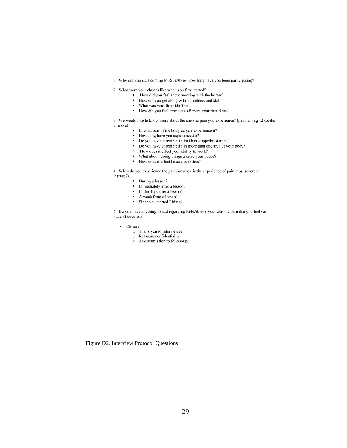

Figure D2. Interview Protocol Questions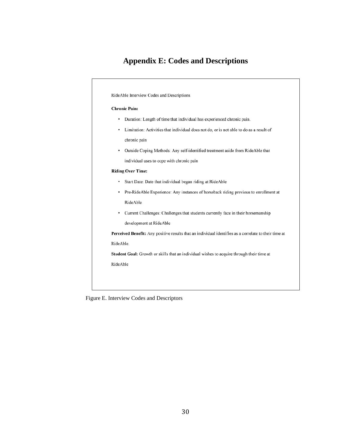# **Appendix E: Codes and Descriptions**



Figure E. Interview Codes and Descriptors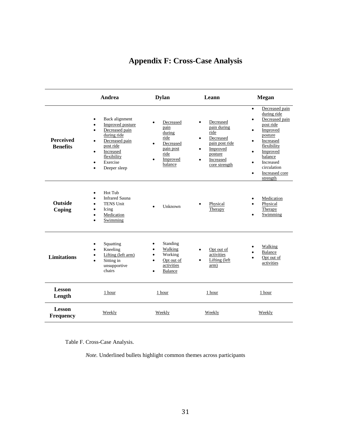| <b>Appendix F: Cross-Case Analysis</b> |  |  |  |  |
|----------------------------------------|--|--|--|--|
|----------------------------------------|--|--|--|--|

|                                     | Andrea                                                                                                                                                                                                                                          | <b>Dylan</b>                                                                                 | Leann                                                                                                                                                    | Megan                                                                                                                                                                                                                                                                                       |
|-------------------------------------|-------------------------------------------------------------------------------------------------------------------------------------------------------------------------------------------------------------------------------------------------|----------------------------------------------------------------------------------------------|----------------------------------------------------------------------------------------------------------------------------------------------------------|---------------------------------------------------------------------------------------------------------------------------------------------------------------------------------------------------------------------------------------------------------------------------------------------|
| <b>Perceived</b><br><b>Benefits</b> | Back alignment<br>$\bullet$<br><b>Improved</b> posture<br>$\bullet$<br>Decreased pain<br>$\bullet$<br>during ride<br>Decreased pain<br>$\bullet$<br>post ride<br>Increased<br>$\bullet$<br>flexibility<br>Exercise<br>$\bullet$<br>Deeper sleep | Decreased<br>pain<br>during<br>ride<br>Decreased<br>pain post<br>ride<br>Improved<br>balance | Decreased<br>$\bullet$<br>pain during<br>ride<br>Decreased<br>٠<br>pain post ride<br>Improved<br>٠<br>posture<br>Increased<br>$\bullet$<br>core strength | Decreased pain<br>$\bullet$<br>during ride<br>Decreased pain<br>$\bullet$<br>post ride<br>Improved<br>$\bullet$<br>posture<br>Increased<br>$\bullet$<br>flexibility<br>Improved<br>$\bullet$<br>balance<br>Increased<br>$\bullet$<br>circulation<br>Increased core<br>$\bullet$<br>strength |
| <b>Outside</b><br>Coping            | Hot Tub<br>$\bullet$<br><b>Infrared Sauna</b><br>٠<br><b>TENS Unit</b><br>$\bullet$<br>Icing<br>٠<br>Medication<br>$\bullet$<br>Swimming<br>$\bullet$                                                                                           | Unknown                                                                                      | Physical<br>Therapy                                                                                                                                      | Medication<br>Physical<br>Therapy<br>Swimming<br>$\bullet$                                                                                                                                                                                                                                  |
| <b>Limitations</b>                  | Squatting<br>٠<br>Kneeling<br>$\bullet$<br>Lifting (left arm)<br>٠<br>Sitting in<br>unsupportive<br>chairs                                                                                                                                      | Standing<br>Walking<br>Working<br>Opt out of<br>activities<br>Balance                        | Opt out of<br>$\bullet$<br>activities<br>Lifting (left<br>arm)                                                                                           | Walking<br>Balance<br>Opt out of<br>activities                                                                                                                                                                                                                                              |
| <b>Lesson</b><br>Length             | 1 hour                                                                                                                                                                                                                                          | 1 hour                                                                                       | 1 hour                                                                                                                                                   | 1 hour                                                                                                                                                                                                                                                                                      |
| <b>Lesson</b><br><b>Frequency</b>   | Weekly                                                                                                                                                                                                                                          | Weekly                                                                                       | Weekly                                                                                                                                                   | Weekly                                                                                                                                                                                                                                                                                      |

Table F. Cross-Case Analysis.

*Note.* Underlined bullets highlight common themes across participants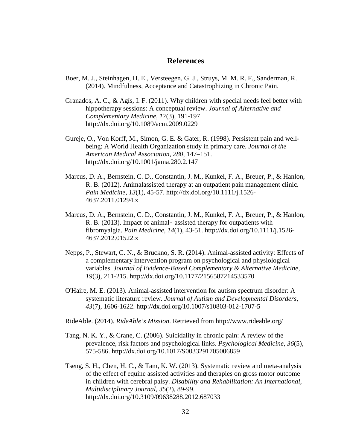# **References**

- Boer, M. J., Steinhagen, H. E., Versteegen, G. J., Struys, M. M. R. F., Sanderman, R. (2014). Mindfulness, Acceptance and Catastrophizing in Chronic Pain.
- Granados, A. C., & Agís, I. F. (2011). Why children with special needs feel better with hippotherapy sessions: A conceptual review. *Journal of Alternative and Complementary Medicine, 17*(3), 191-197. http://dx.doi.org/10.1089/acm.2009.0229
- Gureje, O., Von Korff, M., Simon, G. E. & Gater, R. (1998). Persistent pain and wellbeing: A World Health Organization study in primary care. *Journal of the American Medical Association*, *280,* 147–151. http://dx.doi.org/10.1001/jama.280.2.147
- Marcus, D. A., Bernstein, C. D., Constantin, J. M., Kunkel, F. A., Breuer, P., & Hanlon, R. B. (2012). Animalassisted therapy at an outpatient pain management clinic. *Pain Medicine, 13*(1), 45-57. http://dx.doi.org/10.1111/j.1526- 4637.2011.01294.x
- Marcus, D. A., Bernstein, C. D., Constantin, J. M., Kunkel, F. A., Breuer, P., & Hanlon, R. B. (2013). Impact of animal‐ assisted therapy for outpatients with fibromyalgia. *Pain Medicine, 14*(1), 43-51. http://dx.doi.org/10.1111/j.1526- 4637.2012.01522.x
- Nepps, P., Stewart, C. N., & Bruckno, S. R. (2014). Animal-assisted activity: Effects of a complementary intervention program on psychological and physiological variables. *Journal of Evidence-Based Complementary & Alternative Medicine, 19*(3), 211-215. http://dx.doi.org/10.1177/2156587214533570
- O'Haire, M. E. (2013). Animal-assisted intervention for autism spectrum disorder: A systematic literature review. *Journal of Autism and Developmental Disorders, 43*(7), 1606-1622. http://dx.doi.org/10.1007/s10803-012-1707-5
- RideAble. (2014). *RideAble's Mission*. Retrieved from http://www.rideable.org/
- Tang, N. K. Y., & Crane, C. (2006). Suicidality in chronic pain: A review of the prevalence, risk factors and psychological links. *Psychological Medicine, 36*(5), 575-586. http://dx.doi.org/10.1017/S0033291705006859
- Tseng, S. H., Chen, H. C., & Tam, K. W. (2013). Systematic review and meta-analysis of the effect of equine assisted activities and therapies on gross motor outcome in children with cerebral palsy. *Disability and Rehabilitation: An International, Multidisciplinary Journal, 35*(2), 89-99. http://dx.doi.org/10.3109/09638288.2012.687033